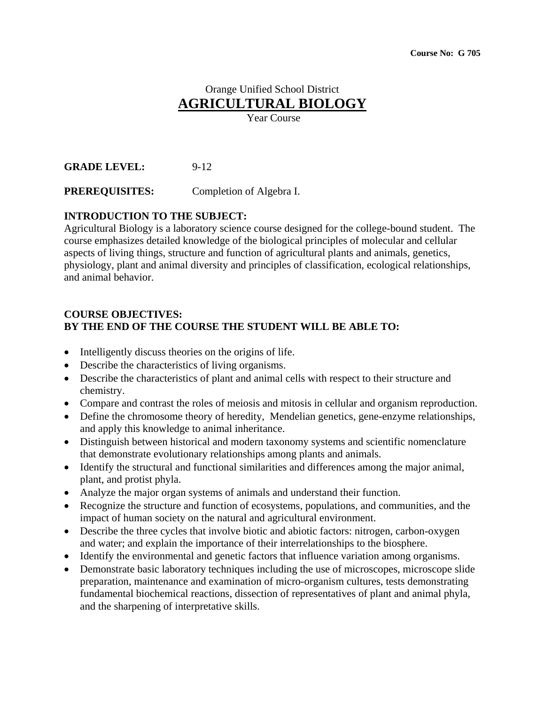## Orange Unified School District **AGRICULTURAL BIOLOGY**

Year Course

**GRADE LEVEL:** 9-12

**PREREQUISITES:** Completion of Algebra I.

#### **INTRODUCTION TO THE SUBJECT:**

Agricultural Biology is a laboratory science course designed for the college-bound student. The course emphasizes detailed knowledge of the biological principles of molecular and cellular aspects of living things, structure and function of agricultural plants and animals, genetics, physiology, plant and animal diversity and principles of classification, ecological relationships, and animal behavior.

#### **COURSE OBJECTIVES: BY THE END OF THE COURSE THE STUDENT WILL BE ABLE TO:**

- Intelligently discuss theories on the origins of life.
- Describe the characteristics of living organisms.
- Describe the characteristics of plant and animal cells with respect to their structure and chemistry.
- Compare and contrast the roles of meiosis and mitosis in cellular and organism reproduction.
- Define the chromosome theory of heredity, Mendelian genetics, gene-enzyme relationships, and apply this knowledge to animal inheritance.
- Distinguish between historical and modern taxonomy systems and scientific nomenclature that demonstrate evolutionary relationships among plants and animals.
- Identify the structural and functional similarities and differences among the major animal, plant, and protist phyla.
- Analyze the major organ systems of animals and understand their function.
- Recognize the structure and function of ecosystems, populations, and communities, and the impact of human society on the natural and agricultural environment.
- Describe the three cycles that involve biotic and abiotic factors: nitrogen, carbon-oxygen and water; and explain the importance of their interrelationships to the biosphere.
- Identify the environmental and genetic factors that influence variation among organisms.
- Demonstrate basic laboratory techniques including the use of microscopes, microscope slide preparation, maintenance and examination of micro-organism cultures, tests demonstrating fundamental biochemical reactions, dissection of representatives of plant and animal phyla, and the sharpening of interpretative skills.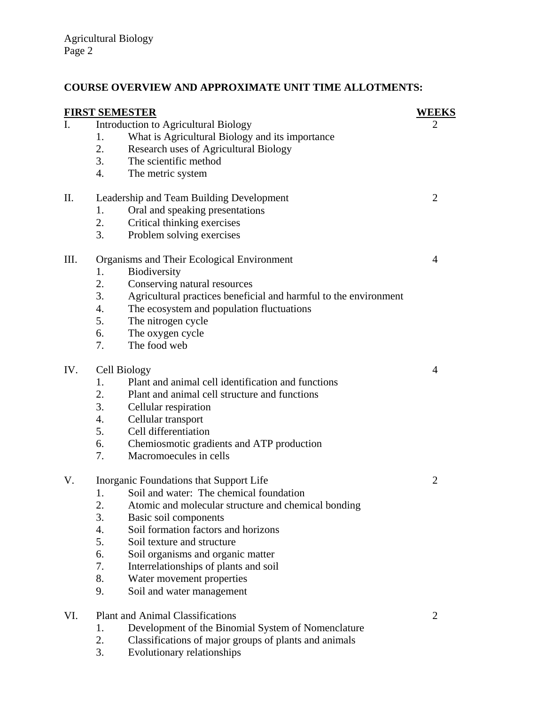# **COURSE OVERVIEW AND APPROXIMATE UNIT TIME ALLOTMENTS:**

| $\mathbf{I}$ . | <b>FIRST SEMESTER</b><br><b>Introduction to Agricultural Biology</b>   | <b>WEEKS</b><br>2 |
|----------------|------------------------------------------------------------------------|-------------------|
|                | 1.<br>What is Agricultural Biology and its importance                  |                   |
|                | 2.<br><b>Research uses of Agricultural Biology</b>                     |                   |
|                | 3.<br>The scientific method                                            |                   |
|                | 4.<br>The metric system                                                |                   |
| Π.             | Leadership and Team Building Development                               | $\overline{2}$    |
|                | Oral and speaking presentations<br>1.                                  |                   |
|                | 2.<br>Critical thinking exercises                                      |                   |
|                | 3.<br>Problem solving exercises                                        |                   |
| III.           | Organisms and Their Ecological Environment                             | 4                 |
|                | Biodiversity<br>1.                                                     |                   |
|                | 2.<br>Conserving natural resources                                     |                   |
|                | 3.<br>Agricultural practices beneficial and harmful to the environment |                   |
|                | 4.<br>The ecosystem and population fluctuations                        |                   |
|                | 5.<br>The nitrogen cycle                                               |                   |
|                | The oxygen cycle<br>6.                                                 |                   |
|                | 7.<br>The food web                                                     |                   |
| IV.            | Cell Biology                                                           | 4                 |
|                | Plant and animal cell identification and functions<br>1.               |                   |
|                | 2.<br>Plant and animal cell structure and functions                    |                   |
|                | 3.<br>Cellular respiration                                             |                   |
|                | $\overline{4}$ .<br>Cellular transport                                 |                   |
|                | 5.<br>Cell differentiation                                             |                   |
|                | 6.<br>Chemiosmotic gradients and ATP production                        |                   |
|                | 7.<br>Macromoecules in cells                                           |                   |
| V.             | Inorganic Foundations that Support Life                                | $\overline{2}$    |
|                | Soil and water: The chemical foundation<br>1.                          |                   |
|                | 2.<br>Atomic and molecular structure and chemical bonding              |                   |
|                | 3.<br>Basic soil components                                            |                   |
|                | Soil formation factors and horizons<br>4.                              |                   |
|                | 5.<br>Soil texture and structure                                       |                   |
|                | 6.<br>Soil organisms and organic matter                                |                   |
|                | 7.<br>Interrelationships of plants and soil                            |                   |
|                | 8.<br>Water movement properties                                        |                   |
|                | 9.<br>Soil and water management                                        |                   |
| VI.            | <b>Plant and Animal Classifications</b>                                | 2                 |
|                | Development of the Binomial System of Nomenclature<br>1.               |                   |
|                | 2.<br>Classifications of major groups of plants and animals            |                   |
|                | 3.<br>Evolutionary relationships                                       |                   |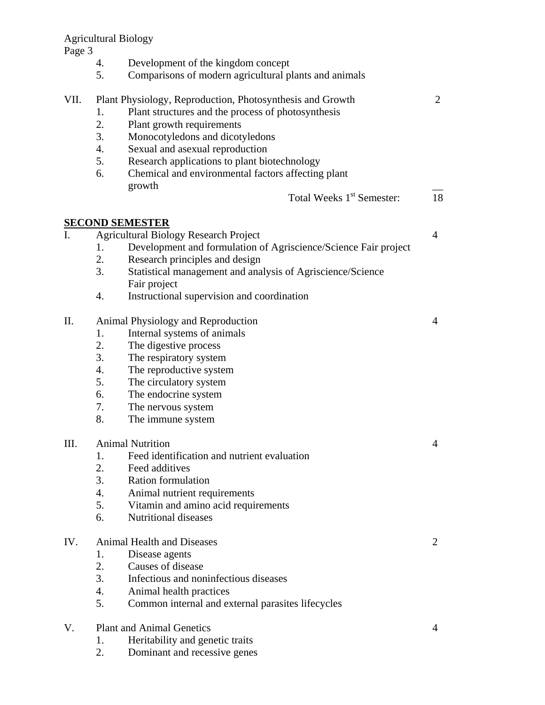| Page 3 |                                                                        |
|--------|------------------------------------------------------------------------|
|        | Development of the kingdom concept<br>4.                               |
|        | Comparisons of modern agricultural plants and animals<br>5.            |
| VII.   | Plant Physiology, Reproduction, Photosynthesis and Growth              |
|        | 1.<br>Plant structures and the process of photosynthesis               |
|        | 2.<br>Plant growth requirements                                        |
|        | 3.<br>Monocotyledons and dicotyledons                                  |
|        | Sexual and asexual reproduction<br>4.                                  |
|        | 5.<br>Research applications to plant biotechnology                     |
|        | Chemical and environmental factors affecting plant<br>6.               |
|        | growth<br>Total Weeks 1 <sup>st</sup> Semester:                        |
|        |                                                                        |
| I.     | <b>SECOND SEMESTER</b><br><b>Agricultural Biology Research Project</b> |
|        | 1.<br>Development and formulation of Agriscience/Science Fair project  |
|        | 2.<br>Research principles and design                                   |
|        | 3.<br>Statistical management and analysis of Agriscience/Science       |
|        | Fair project                                                           |
|        | Instructional supervision and coordination<br>4.                       |
| II.    | Animal Physiology and Reproduction                                     |
|        | Internal systems of animals<br>1.                                      |
|        | 2.<br>The digestive process                                            |
|        | 3.<br>The respiratory system                                           |
|        | The reproductive system<br>4.                                          |
|        | 5.<br>The circulatory system                                           |
|        | The endocrine system<br>6.                                             |
|        | 7.<br>The nervous system                                               |
|        | 8.<br>The immune system                                                |
| III.   | <b>Animal Nutrition</b>                                                |
|        | Feed identification and nutrient evaluation<br>1.                      |
|        | 2.<br>Feed additives                                                   |
|        | 3.<br><b>Ration formulation</b>                                        |
|        | 4.<br>Animal nutrient requirements                                     |
|        | 5.<br>Vitamin and amino acid requirements                              |
|        | <b>Nutritional diseases</b><br>6.                                      |
| IV.    | <b>Animal Health and Diseases</b>                                      |
|        | Disease agents<br>1.                                                   |
|        | 2.<br>Causes of disease                                                |
|        | 3.<br>Infectious and noninfectious diseases                            |
|        | 4.<br>Animal health practices                                          |
|        | 5.<br>Common internal and external parasites lifecycles                |
| V.     | <b>Plant and Animal Genetics</b>                                       |

- V. Plant and Animal Genetics
	- its 1. Heritability and genetic tra
	- 2. Dominant and recessive genes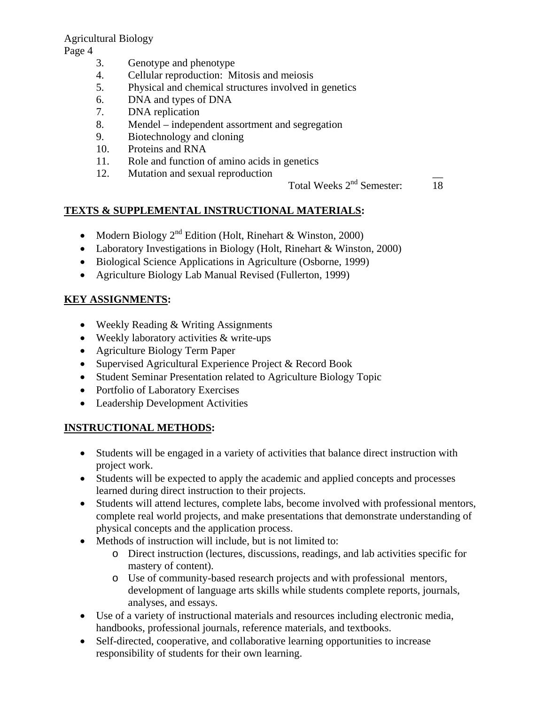Page 4

- 3. Genotype and phenotype
- 4. Cellular reproduction: Mitosis and meiosis
- 5. Physical and chemical structures involved in genetics
- 6. DNA and types of DNA
- 7. DNA replication
- 8. Mendel independent assortment and segregation
- 9. Biotechnology and cloning
- 10. Proteins and RNA
- 11. Role and function of amino acids in genetics
- 12. Mutation and sexual reproduction

Total Weeks  $2^{nd}$  Semester:  $\overline{18}$ 

 $\overline{a}$ 

## **TEXTS & SUPPLEMENTAL INSTRUCTIONAL MATERIALS:**

- Modern Biology  $2^{nd}$  Edition (Holt, Rinehart & Winston, 2000)
- Laboratory Investigations in Biology (Holt, Rinehart & Winston, 2000)
- Biological Science Applications in Agriculture (Osborne, 1999)
- Agriculture Biology Lab Manual Revised (Fullerton, 1999)

### **KEY ASSIGNMENTS:**

- Weekly Reading & Writing Assignments
- Weekly laboratory activities & write-ups
- Agriculture Biology Term Paper
- Supervised Agricultural Experience Project & Record Book
- Student Seminar Presentation related to Agriculture Biology Topic
- Portfolio of Laboratory Exercises
- Leadership Development Activities

## **INSTRUCTIONAL METHODS:**

- Students will be engaged in a variety of activities that balance direct instruction with project work.
- learned during direct instruction to their projects. • Students will be expected to apply the academic and applied concepts and processes
- Students will attend lectures, complete labs, become involved with professional mentors, physical concepts and the application process. complete real world projects, and make presentations that demonstrate understanding of
- Methods of instruction will include, but is not limited to:
	- o Direct instruction (lectures, discussions, readings, and lab activities specific for mastery of content).
	- development of language arts skills while students complete reports, journals, o Use of community-based research projects and with professional mentors, analyses, and essays.
- Use of a variety of instructional materials and resources including electronic media, handbooks, professional journals, reference materials, and textbooks.
- Self-directed, cooperative, and collaborative learning opportunities to increase responsibility of students for their own learning.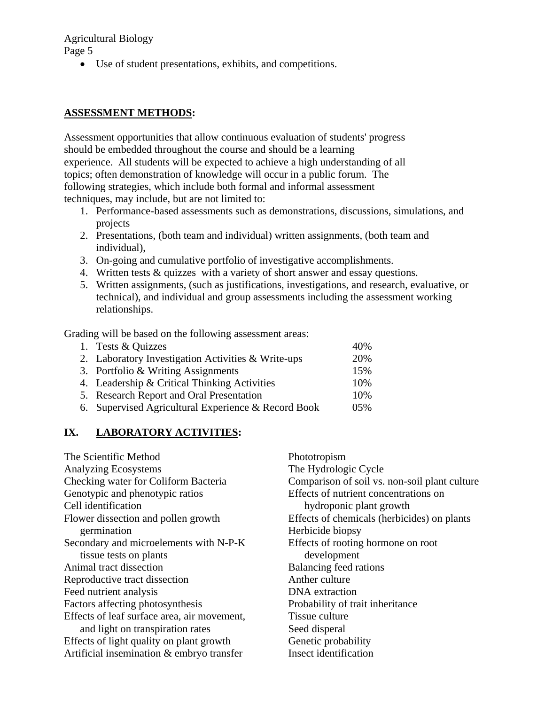Page 5

• Use of student presentations, exhibits, and competitions.

### **ASSESSMENT METHODS:**

Assessment opportunities that allow continuous evaluation of students' progress should be embedded throughout the course and should be a learning exp erience. All students will be expected to achieve a high understanding of all topics; often demonstration of knowledge will occur in a public forum. The foll owing strategies, which include both formal and informal assessment techniques, may include, but are not limited to:

- 1. Performance-based assessments such as demonstrations, discussions, simulations, and projects
- 2. Presentations, (both team and individual) written assignments, (both team and individual),
- 3. On-going and cumulative portfolio of investigative accomplishments.
- 4. Written tests & quizzes with a variety of short answer and essay questions.
- 5. Written assignments, (such as justifications, investigations, and research, evaluative, or technical), and individual and group assessments including the assessment working relationships.

Gra ding will be based on the following assessment areas:

| 1. Tests & Quizzes                                  | 40%     |
|-----------------------------------------------------|---------|
| 2. Laboratory Investigation Activities & Write-ups  | 20%     |
| 3. Portfolio & Writing Assignments                  | 15%     |
| 4. Leadership & Critical Thinking Activities        | 10%     |
| 5. Research Report and Oral Presentation            | 10%     |
| 6. Supervised Agricultural Experience & Record Book | $0.5\%$ |

## **IX.** LABORATORY ACTIVITIES:

| Phototropism                                  |  |
|-----------------------------------------------|--|
| The Hydrologic Cycle                          |  |
| Comparison of soil vs. non-soil plant culture |  |
| Effects of nutrient concentrations on         |  |
| hydroponic plant growth                       |  |
| Effects of chemicals (herbicides) on plants   |  |
| Herbicide biopsy                              |  |
| Effects of rooting hormone on root            |  |
| development                                   |  |
| Balancing feed rations                        |  |
| Anther culture                                |  |
| DNA extraction                                |  |
| Probability of trait inheritance              |  |
| Tissue culture                                |  |
| Seed disperal                                 |  |
| Genetic probability                           |  |
| Insect identification                         |  |
|                                               |  |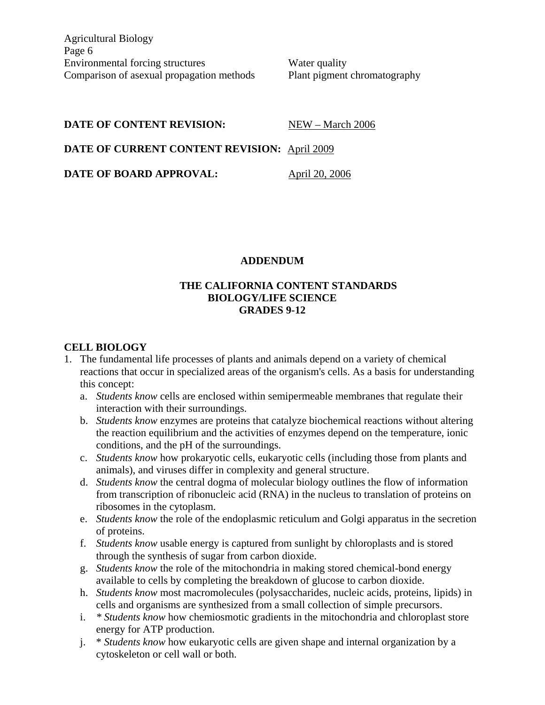| <b>DATE OF CONTENT REVISION:</b>             | $NEW - March 2006$ |
|----------------------------------------------|--------------------|
| DATE OF CURRENT CONTENT REVISION: April 2009 |                    |
| DATE OF BOARD APPROVAL:                      | April 20, 2006     |

#### **ADDENDUM**

#### **THE CALIFORNIA CONTENT STANDARDS BIOLOGY/LIFE SCIENCE GRADES 9-12**

#### **CELL BIOLOGY**

- 1. The fundamental life processes of plants and animals depend on a variety of chemical reactions that occur in specialized areas of the organism's cells. As a basis for understanding this concept:
	- a. *Students know* cells are enclosed within semipermeable membranes that regulate their interaction with their surroundings.
	- conditions, and the pH of the surroundings. b. *Students know* enzymes are proteins that catalyze biochemical reactions without altering the reaction equilibrium and the activities of enzymes depend on the temperature, ionic
	- animals), and viruses differ in complexity and general structure. c. *Students know* how prokaryotic cells, eukaryotic cells (including those from plants and
	- d. *Students know* the central dogma of molecular biology outlines the flow of information from transcription of ribonucleic acid (RNA) in the nucleus to translation of proteins on ribosomes in the cytoplasm.
	- e. *Students know* the role of the endoplasmic reticulum and Golgi apparatus in the secretion of proteins.
	- f. *Students know* usable energy is captured from sunlight by chloroplasts and is stored through the synthesis of sugar from carbon dioxide.
	- g. *Students know* the role of the mitochondria in making stored chemical-bond energy available to cells by completing the breakdown of glucose to carbon dioxide.
	- h. *Students know* most macromolecules (polysaccharides, nucleic acids, proteins, lipids) in cells and organisms are synthesized from a small collection of simple precursors.
	- i. *\* Students know* how chemiosmotic gradients in the mitochondria and chloroplast store energy for ATP production.
	- j. *\* Students know* how eukaryotic cells are given shape and internal organization by a cytoskeleton or cell wall or both.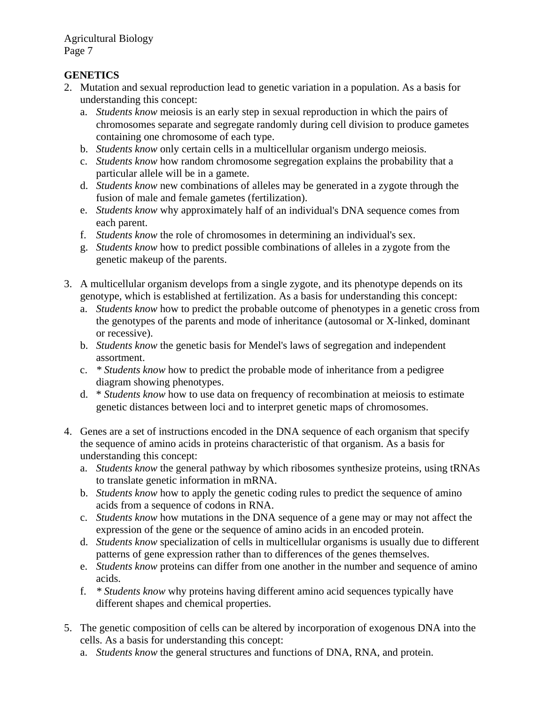Agricultural Biology Page 7

#### **GENETICS**

- 2. Mutation and sexual reproduction lead to genetic variation in a population. As a basis for understanding this concept:
	- chromosomes separate and segregate randomly during cell division to produce gametes a. *Students know* meiosis is an early step in sexual reproduction in which the pairs of containing one chromosome of each type.
	- b. *Students know* only certain cells in a multicellular organism undergo meiosis.
	- particular allele will be in a gamete. c. *Students know* how random chromosome segregation explains the probability that a
	- d. *Students know* new combinations of alleles may be generated in a zygote through the fusion of male and female gametes (fertilization).
	- e. *Students know* why approximately half of an individual's DNA sequence comes from each parent.
	- f. *Students know* the role of chromosomes in determining an individual's sex.
	- g. *Students know* how to predict possible combinations of alleles in a zygote from the genetic makeup of the parents.
- 3. A multicellular organism develops from a single zygote, and its phenotype depends on its genotype, which is established at fertilization. As a basis for understanding this concept:
	- a. *Students know* how to predict the probable outcome of phenotypes in a genetic cross from the genotypes of the parents and mode of inheritance (autosomal or X-linked, dominant or recessive).
	- b. *Students know* the genetic basis for Mendel's laws of segregation and independent assortment.
	- c. *\* Students know* how to predict the probable mode of inheritance from a pedigree diagram showing phenotypes.
	- d. *\* Students know* how to use data on frequency of recombination at meiosis to estimate genetic distances between loci and to interpret genetic maps of chromosomes.
- 4. Genes are a set of instructions encoded in the DNA sequence of each organism that specify the sequence of amino acids in proteins characteristic of that organism. As a basis for understanding this concept:
	- a. *Students know* the general pathway by which ribosomes synthesize proteins, using tRNAs to translate genetic information in mRNA.
	- b. *Students know* how to apply the genetic coding rules to predict the sequence of amino acids from a sequence of codons in RNA.
	- expression of the gene or the sequence of amino acids in an encoded protein. c. *Students know* how mutations in the DNA sequence of a gene may or may not affect the
	- d. Students know specialization of cells in multicellular organisms is usually due to different patterns of gene expression rather than to differences of the genes themselves.
	- e. *Students know* proteins can differ from one another in the number and sequence of amino acids.
	- f. *\* Students know* why proteins having different amino acid sequences typically have different shapes and chemical properties.
- 5. The genetic composition of cells can be altered by incorporation of exogenous DNA into the cells. As a basis for understanding this concept:
	- a. *Students know the general structures and functions of DNA, RNA, and protein.*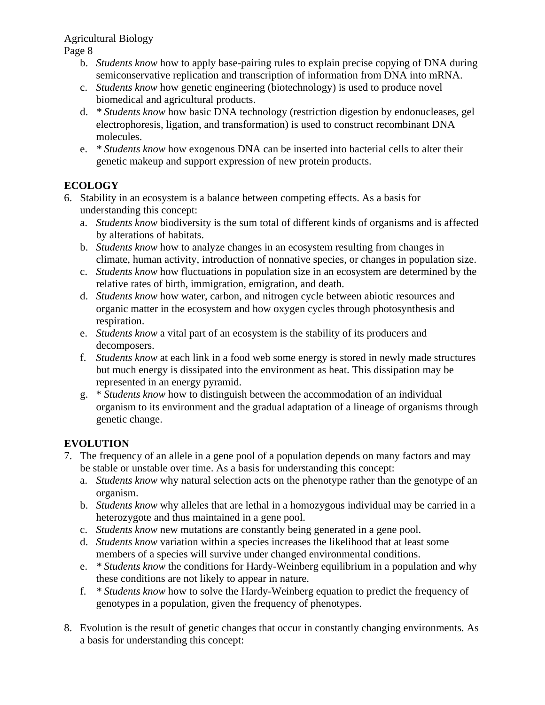Page 8

- semiconservative replication and transcription of information from DNA into mRNA. b. *Students know* how to apply base-pairing rules to explain precise copying of DNA during
- c. *Students know* how genetic engineering (biotechnology) is used to produce novel biomedical and agricultural products.
- d. *\* Students know* how basic DNA technology (restriction digestion by endonucleases, gel electrophoresis, ligation, and transformation) is used to construct recombinant DNA molecules.
- e. *\* Students know* how exogenous DNA can be inserted into bacterial cells to alter their genetic makeup and support expression of new protein products.

## **ECOLOGY**

- 6. Stability in an ecosystem is a balance between competing effects. As a basis for understanding this concept:
	- a. *Students know* biodiversity is the sum total of different kinds of organisms and is affected by alterations of habitats.
	- climate, human activity, introduction of nonnative species, or changes in population size. b. *Students know* how to analyze changes in an ecosystem resulting from changes in
	- c. *Students know* how fluctuations in population size in an ecosystem are determined by the relative rates of birth, immigration, emigration, and death.
	- d. Students know how water, carbon, and nitrogen cycle between abiotic resources and organic matter in the ecosystem and how oxygen cycles through photosynthesis and respiration.
	- e. *Students know* a vital part of an ecosystem is the stability of its producers and decomposers.
	- but much energy is dissipated into the environment as heat. This dissipation may be represented in an energy pyramid. f. *Students know* at each link in a food web some energy is stored in newly made structures
	- g. *\* Students know* how to distinguish between the accommodation of an individual organism to its environment and the gradual adaptation of a lineage of organisms through genetic change.

## **EVOLUTION**

- be stable or unstable over time. As a basis for understanding this concept: 7. The frequency of an allele in a gene pool of a population depends on many factors and may
	- a. *Students know* why natural selection acts on the phenotype rather than the genotype of an organism.
	- b. *Students know* why alleles that are lethal in a homozygous individual may be carried in a heterozygote and thus maintained in a gene pool.
	- c. *Students know* new mutations are constantly being generated in a gene pool.
	- members of a species will survive under changed environmental conditions. d. *Students know* variation within a species increases the likelihood that at least some
	- e. *\* Students know* the conditions for Hardy-Weinberg equilibrium in a population and why these conditions are not likely to appear in nature.
	- f. *\* Students know* how to solve the Hardy-Weinberg equation to predict the frequency of genotypes in a population, given the frequency of phenotypes.
- 8. Evolution is the result of genetic changes that occur in constantly changing environments. As a basis for understanding this concept: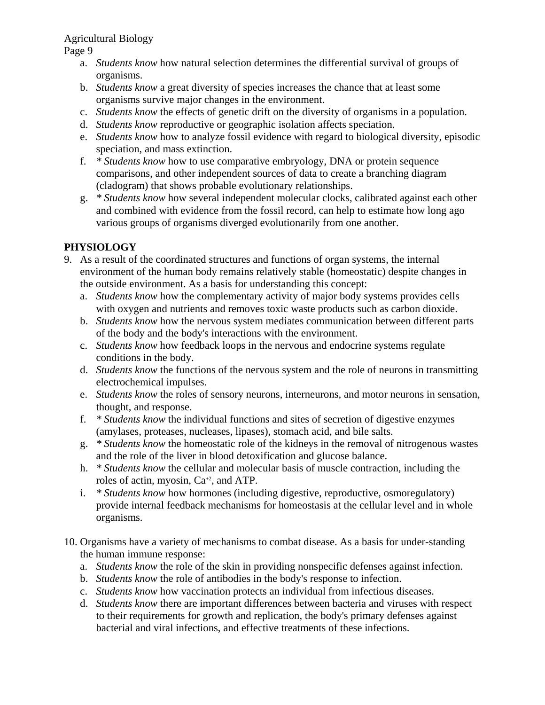Page 9

- a. *Students know* how natural selection determines the differential survival of groups of organisms.
- b. *Students know* a great diversity of species increases the chance that at least some organisms survive major changes in the environment.
- c. *Students know* the effects of genetic drift on the diversity of organisms in a population.
- d. *Students know* reproductive or geographic isolation affects speciation.
- e. *Students know* how to analyze fossil evidence with regard to biological diversity, episodic speciation, and mass extinction.
- f. *\* Students know* how to use comparative embryology, DNA or protein sequence comparisons, and other independent sources of data to create a branching diagram (cladogram) that shows probable evolutionary relationships.
- g. *\* Students know* how several independent molecular clocks, calibrated against each other and combined with evidence from the fossil record, can help to estimate how long ago various groups of organisms diverged evolutionarily from one another.

## **PHYSIOLOGY**

- 9. As a result of the coordinated structures and functions of organ systems, the internal environment of the human body remains relatively stable (homeostatic) despite changes in the outside environment. As a basis for understanding this concept:
	- with oxygen and nutrients and removes toxic waste products such as carbon dioxide. a. *Students know* how the complementary activity of major body systems provides cells
	- of the body and the body's interactions with the environment. b. *Students know* how the nervous system mediates communication between different parts
	- c. *Students know* how feedback loops in the nervous and endocrine systems regulate conditions in the body.
	- d. *Students know* the functions of the nervous system and the role of neurons in transmitting electrochemical impulses.
	- e. *Students know* the roles of sensory neurons, interneurons, and motor neurons in sensation, thought, and response.
	- f. *\* Students know* the individual functions and sites of secretion of digestive enzymes (amylases, proteases, nucleases, lipases), stomach acid, and bile salts.
	- g. *\* Students know* the homeostatic role of the kidneys in the removal of nitrogenous wastes and the role of the liver in blood detoxification and glucose balance.
	- h. *\* Students know* the cellular and molecular basis of muscle contraction, including the roles of actin, myosin, Ca<sup>+2</sup>, and ATP.
	- provide internal feedback mechanisms for homeostasis at the cellular level and in whole i. *\* Students know* how hormones (including digestive, reproductive, osmoregulatory) organisms.
- 10. Organisms have a variety of mechanisms to combat disease. As a basis for under-standing the human immune response:
	- a. *Students know* the role of the skin in providing nonspecific defenses against infection.
	- b. *Students know* the role of antibodies in the body's response to infection.
	- c. Students know how vaccination protects an individual from infectious diseases.
	- d. Students know there are important differences between bacteria and viruses with respect to their requirements for growth and replication, the body's primary defenses against bacterial and viral infections, and effective treatments of these infections.